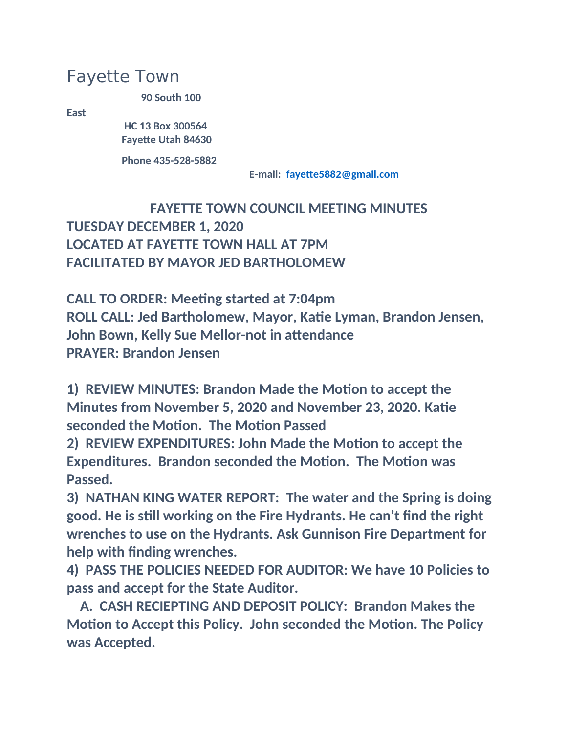## Fayette Town

**90 South 100** 

**East**

 **HC 13 Box 300564 Fayette Utah 84630**

 **Phone 435-528-5882**

 **E-mail: [fayette5882@gmail.com](mailto:fayette5882@gmail.com)**

 **FAYETTE TOWN COUNCIL MEETING MINUTES TUESDAY DECEMBER 1, 2020 LOCATED AT FAYETTE TOWN HALL AT 7PM FACILITATED BY MAYOR JED BARTHOLOMEW**

**CALL TO ORDER: Meeting started at 7:04pm ROLL CALL: Jed Bartholomew, Mayor, Katie Lyman, Brandon Jensen, John Bown, Kelly Sue Mellor-not in attendance PRAYER: Brandon Jensen**

**1) REVIEW MINUTES: Brandon Made the Motion to accept the Minutes from November 5, 2020 and November 23, 2020. Katie seconded the Motion. The Motion Passed**

**2) REVIEW EXPENDITURES: John Made the Motion to accept the Expenditures. Brandon seconded the Motion. The Motion was Passed.**

**3) NATHAN KING WATER REPORT: The water and the Spring is doing good. He is still working on the Fire Hydrants. He can't find the right wrenches to use on the Hydrants. Ask Gunnison Fire Department for help with finding wrenches.**

**4) PASS THE POLICIES NEEDED FOR AUDITOR: We have 10 Policies to pass and accept for the State Auditor.**

 **A. CASH RECIEPTING AND DEPOSIT POLICY: Brandon Makes the Motion to Accept this Policy. John seconded the Motion. The Policy was Accepted.**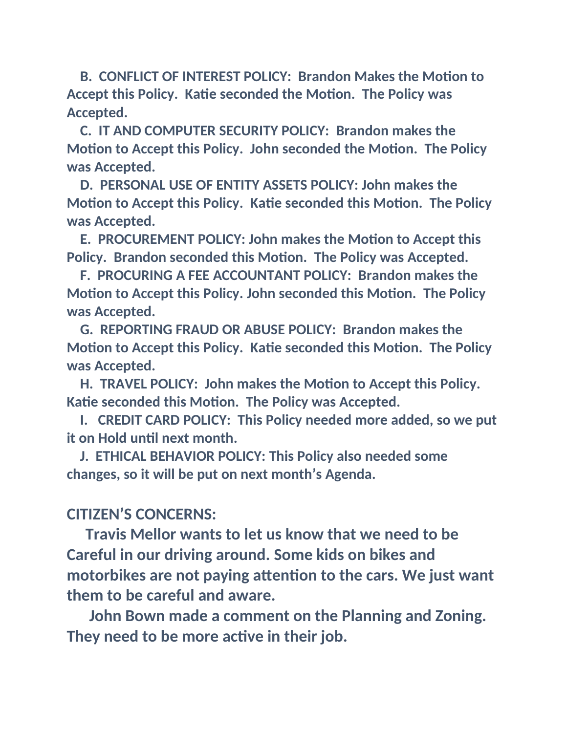**B. CONFLICT OF INTEREST POLICY: Brandon Makes the Motion to Accept this Policy. Katie seconded the Motion. The Policy was Accepted.**

 **C. IT AND COMPUTER SECURITY POLICY: Brandon makes the Motion to Accept this Policy. John seconded the Motion. The Policy was Accepted.**

 **D. PERSONAL USE OF ENTITY ASSETS POLICY: John makes the Motion to Accept this Policy. Katie seconded this Motion. The Policy was Accepted.**

 **E. PROCUREMENT POLICY: John makes the Motion to Accept this Policy. Brandon seconded this Motion. The Policy was Accepted.**

 **F. PROCURING A FEE ACCOUNTANT POLICY: Brandon makes the Motion to Accept this Policy. John seconded this Motion. The Policy was Accepted.**

 **G. REPORTING FRAUD OR ABUSE POLICY: Brandon makes the Motion to Accept this Policy. Katie seconded this Motion. The Policy was Accepted.**

 **H. TRAVEL POLICY: John makes the Motion to Accept this Policy. Katie seconded this Motion. The Policy was Accepted.**

 **I. CREDIT CARD POLICY: This Policy needed more added, so we put it on Hold until next month.**

 **J. ETHICAL BEHAVIOR POLICY: This Policy also needed some changes, so it will be put on next month's Agenda.**

## **CITIZEN'S CONCERNS:**

 **Travis Mellor wants to let us know that we need to be Careful in our driving around. Some kids on bikes and motorbikes are not paying attention to the cars. We just want them to be careful and aware.**

 **John Bown made a comment on the Planning and Zoning. They need to be more active in their job.**